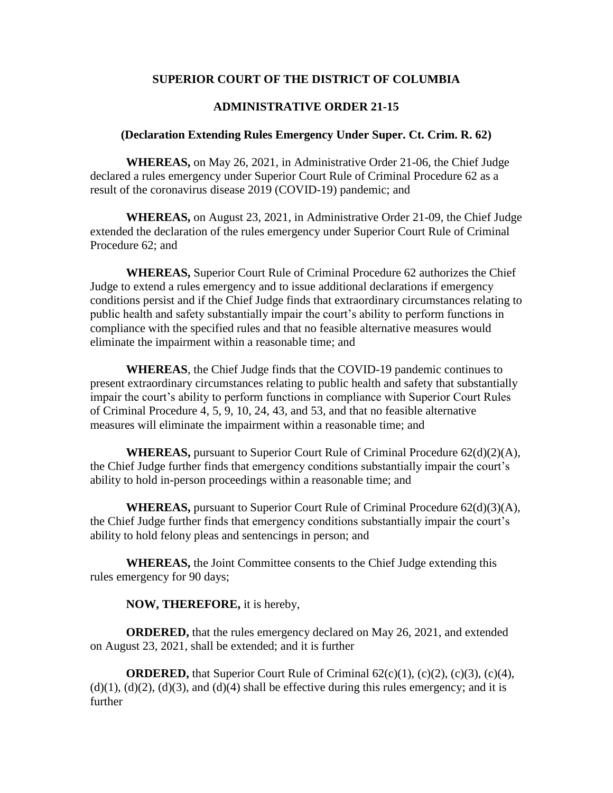# **SUPERIOR COURT OF THE DISTRICT OF COLUMBIA**

# **ADMINISTRATIVE ORDER 21-15**

#### **(Declaration Extending Rules Emergency Under Super. Ct. Crim. R. 62)**

**WHEREAS,** on May 26, 2021, in Administrative Order 21-06, the Chief Judge declared a rules emergency under Superior Court Rule of Criminal Procedure 62 as a result of the coronavirus disease 2019 (COVID-19) pandemic; and

**WHEREAS,** on August 23, 2021, in Administrative Order 21-09, the Chief Judge extended the declaration of the rules emergency under Superior Court Rule of Criminal Procedure 62; and

**WHEREAS,** Superior Court Rule of Criminal Procedure 62 authorizes the Chief Judge to extend a rules emergency and to issue additional declarations if emergency conditions persist and if the Chief Judge finds that extraordinary circumstances relating to public health and safety substantially impair the court's ability to perform functions in compliance with the specified rules and that no feasible alternative measures would eliminate the impairment within a reasonable time; and

**WHEREAS**, the Chief Judge finds that the COVID-19 pandemic continues to present extraordinary circumstances relating to public health and safety that substantially impair the court's ability to perform functions in compliance with Superior Court Rules of Criminal Procedure 4, 5, 9, 10, 24, 43, and 53, and that no feasible alternative measures will eliminate the impairment within a reasonable time; and

**WHEREAS,** pursuant to Superior Court Rule of Criminal Procedure  $62(d)(2)(A)$ , the Chief Judge further finds that emergency conditions substantially impair the court's ability to hold in-person proceedings within a reasonable time; and

**WHEREAS,** pursuant to Superior Court Rule of Criminal Procedure 62(d)(3)(A), the Chief Judge further finds that emergency conditions substantially impair the court's ability to hold felony pleas and sentencings in person; and

**WHEREAS,** the Joint Committee consents to the Chief Judge extending this rules emergency for 90 days;

#### **NOW, THEREFORE,** it is hereby,

**ORDERED,** that the rules emergency declared on May 26, 2021, and extended on August 23, 2021, shall be extended; and it is further

**ORDERED,** that Superior Court Rule of Criminal 62(c)(1), (c)(2), (c)(3), (c)(4),  $(d)(1)$ ,  $(d)(2)$ ,  $(d)(3)$ , and  $(d)(4)$  shall be effective during this rules emergency; and it is further